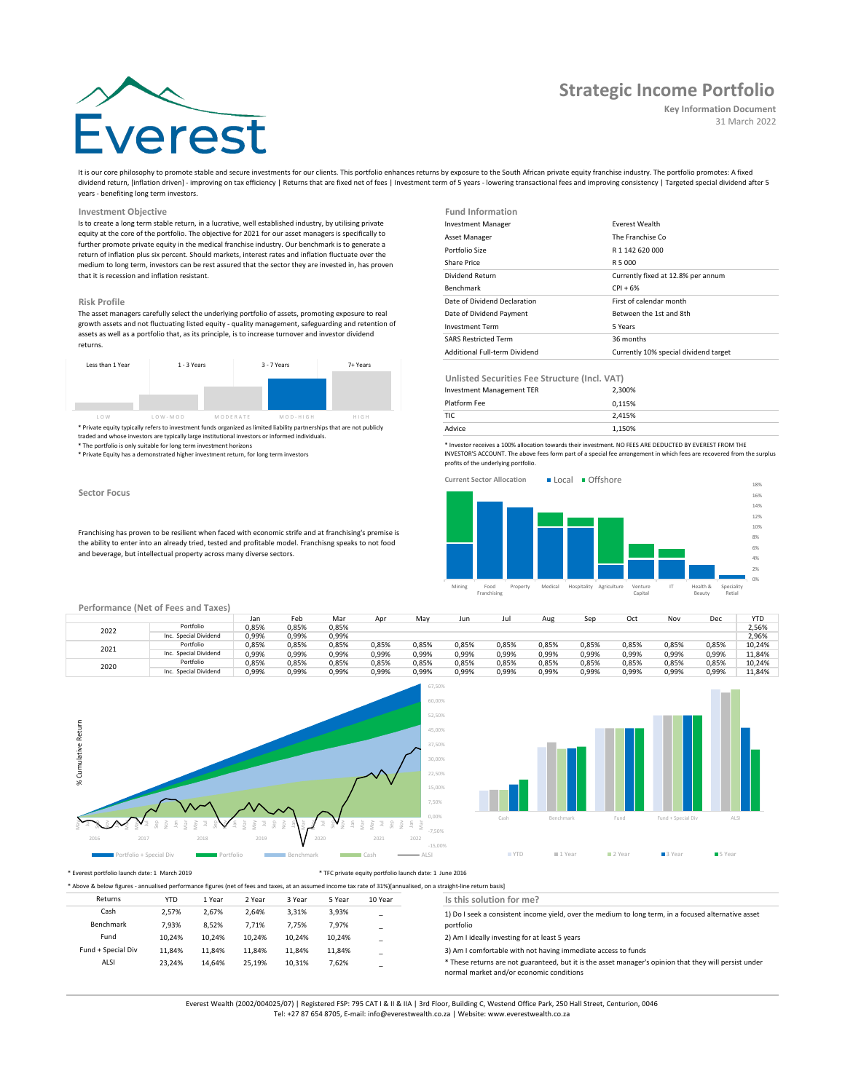# **Strategic Income Portfolio**

#### **Key Information Document** 31 March 2022

It is our core philosophy to promote stable and secure investments for our clients. This portfolio enhances returns by exposure to the South African private equity franchise industry. The portfolio promotes: A fixed dividend return, [inflation driven] - improving on tax efficiency | Returns that are fixed net of fees | Investment term of 5 years - lowering transactional fees and improving consistency | Targeted special dividend after 5 years - benefiting long term investors.

## **Investment Objective**

Is to create a long term stable return, in a lucrative, well established industry, by utilising private equity at the core of the portfolio. The objective for 2021 for our asset managers is specifically to further promote private equity in the medical franchise industry. Our benchmark is to generate a return of inflation plus six percent. Should markets, interest rates and inflation fluctuate over the medium to long term, investors can be rest assured that the sector they are invested in, has proven that it is recession and inflation resistant.

#### **Risk Profile**

The asset managers carefully select the underlying portfolio of assets, promoting exposure to real growth assets and not fluctuating listed equity - quality management, safeguarding and retention of assets as well as a portfolio that, as its principle, is to increase turnover and investor dividend returns.



\* Private equity typically refers to investment funds organized as limited liability partnerships that are not publicly<br>traded and whose investors are typically large institutional investors or informed individuals.<br>\* The

\* Private Equity has a demonstrated higher investment return, for long term investors

#### **Sector Focus**

Franchising has proven to be resilient when faced with economic strife and at franchising's premise is the ability to enter into an already tried, tested and profitable model. Franchisng speaks to not food and beverage, but intellectual property across many diverse sectors.

| <b>Fund Information</b>       |                                       |
|-------------------------------|---------------------------------------|
| <b>Investment Manager</b>     | <b>Fverest Wealth</b>                 |
| Asset Manager                 | The Franchise Co.                     |
| Portfolio Size                | R 1 142 620 000                       |
| Share Price                   | R 5 000                               |
| Dividend Return               | Currently fixed at 12.8% per annum    |
| <b>Benchmark</b>              | $CPI + 6%$                            |
| Date of Dividend Declaration  | First of calendar month               |
| Date of Dividend Payment      | Between the 1st and 8th               |
| <b>Investment Term</b>        | 5 Years                               |
| <b>SARS Restricted Term</b>   | 36 months                             |
| Additional Full-term Dividend | Currently 10% special dividend target |

**Unlisted Securities Fee Structure (Incl. VAT)**

| Investment Management TER | 2.300% |  |
|---------------------------|--------|--|
| Platform Fee              | 0.115% |  |
| <b>TIC</b>                | 2.415% |  |
| Advice                    | 1.150% |  |

\* Investor receives a 100% allocation towards their investment. NO FEES ARE DEDUCTED BY EVEREST FROM THE INVESTOR'S ACCOUNT. The above fees form part of a special fee arrangement in which fees are recovered from the surplus profits of the underlying portfolio.



### **Performance (Net of Fees and Taxes)**

|      |                       | Jan   | Feb   | Mar   | Apr   | May   | Jun   |       | Aug   | Ser   | Oct   | Nov   | Dec   | <b>YTC</b> |
|------|-----------------------|-------|-------|-------|-------|-------|-------|-------|-------|-------|-------|-------|-------|------------|
| 2022 | Portfolio             | 0,85% | 0,85% | 0,85% |       |       |       |       |       |       |       |       |       | 2,56%      |
|      | Inc. Special Dividend | 0.99% | 0.99% | 0,99% |       |       |       |       |       |       |       |       |       | 2.96%      |
| 2021 | Portfolio             | 0.85% | 0.85% | 0.85% | 0.85% | 0.85% | 0.85% | 0,85% | 0.85% | 0.85% | 0.85% | 0.85% | 0.85% | 10.24%     |
|      | Inc. Special Dividend | 0.99% | 0.99% | 0,99% | 0,99% | 0.99% | 0.99% | 0,99% | 0,99% | 0,99% | 0.99% | 0.99% | 0,99% | 11.84%     |
| 2020 | Portfolio             | 0.85% | 0.85% | 0,85% | 0.85% | 0.85% | 0,85% | 0,85% | 0,85% | 0.85% | 0.85% | 0,85% | 0.85% | 10,24%     |
|      | Inc. Special Dividend | 0,99% | 0,99% | 0,99% | 0,99% | 0,99% | 0,99% | 0,99% | 0,99% | 0,99% | 0,99% | 0,99% | 0,99% | 11.84%     |





## \* Everest portfolio launch date: 1 March 2019 \* TFC private equity portfolio launch date: 1 June 2016

| * Above & below figures - annualised performance figures (net of fees and taxes, at an assumed income tax rate of 31%)[annualised, on a straight-line return basis] |            |        |        |        |        |                          |                                                                                                                                                    |  |  |
|---------------------------------------------------------------------------------------------------------------------------------------------------------------------|------------|--------|--------|--------|--------|--------------------------|----------------------------------------------------------------------------------------------------------------------------------------------------|--|--|
| Returns                                                                                                                                                             | <b>YTD</b> | 1 Year | 2 Year | 3 Year | 5 Year | 10 Year                  | Is this solution for me?                                                                                                                           |  |  |
| Cash                                                                                                                                                                | 2.57%      | 2.67%  | 2.64%  | 3.31%  | 3,93%  | $\overline{\phantom{0}}$ | 1) Do I seek a consistent income yield, over the medium to long term, in a focused alternative asset                                               |  |  |
| Benchmark                                                                                                                                                           | 7.93%      | 8.52%  | 7.71%  | 7.75%  | 7.97%  |                          | portfolio                                                                                                                                          |  |  |
| Fund                                                                                                                                                                | 10.24%     | 10.24% | 10.24% | 10.24% | 10.24% |                          | 2) Am I ideally investing for at least 5 years                                                                                                     |  |  |
| Fund + Special Div                                                                                                                                                  | 11.84%     | 11.84% | 11.84% | 11.84% | 11.84% | $\overline{\phantom{0}}$ | 3) Am I comfortable with not having immediate access to funds                                                                                      |  |  |
| ALSI                                                                                                                                                                | 23.24%     | 14.64% | 25.19% | 10.31% | 7.62%  | $\overline{\phantom{0}}$ | * These returns are not guaranteed, but it is the asset manager's opinion that they will persist under<br>normal market and/or economic conditions |  |  |

Everest Wealth (2002/004025/07) | Registered FSP: 795 CAT I & II & IIA | 3rd Floor, Building C, Westend Office Park, 250 Hall Street, Centurion, 0046

Tel: +27 87 654 8705, E-mail: info@everestwealth.co.za | Website: www.everestwealth.co.za